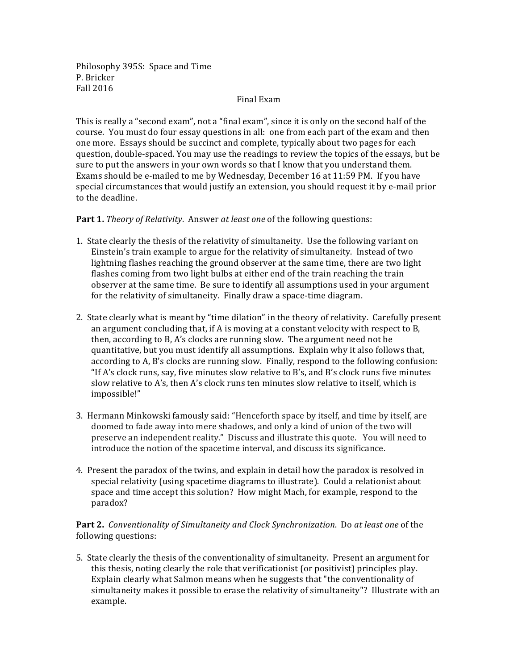Philosophy 395S: Space and Time P. Bricker Fall 2016

## Final Exam

This is really a "second exam", not a "final exam", since it is only on the second half of the course. You must do four essay questions in all: one from each part of the exam and then one more. Essays should be succinct and complete, typically about two pages for each question, double-spaced. You may use the readings to review the topics of the essays, but be sure to put the answers in your own words so that I know that you understand them. Exams should be e-mailed to me by Wednesday, December 16 at 11:59 PM. If you have special circumstances that would justify an extension, you should request it by e-mail prior to the deadline.

**Part 1.** *Theory of Relativity.* Answer *at least one* of the following questions:

- 1. State clearly the thesis of the relativity of simultaneity. Use the following variant on Einstein's train example to argue for the relativity of simultaneity. Instead of two lightning flashes reaching the ground observer at the same time, there are two light flashes coming from two light bulbs at either end of the train reaching the train observer at the same time. Be sure to identify all assumptions used in your argument for the relativity of simultaneity. Finally draw a space-time diagram.
- 2. State clearly what is meant by "time dilation" in the theory of relativity. Carefully present an argument concluding that, if  $A$  is moving at a constant velocity with respect to  $B$ , then, according to B, A's clocks are running slow. The argument need not be quantitative, but you must identify all assumptions. Explain why it also follows that, according to A, B's clocks are running slow. Finally, respond to the following confusion: "If A's clock runs, say, five minutes slow relative to B's, and B's clock runs five minutes slow relative to A's, then A's clock runs ten minutes slow relative to itself, which is impossible!"
- 3. Hermann Minkowski famously said: "Henceforth space by itself, and time by itself, are doomed to fade away into mere shadows, and only a kind of union of the two will preserve an independent reality." Discuss and illustrate this quote. You will need to introduce the notion of the spacetime interval, and discuss its significance.
- 4. Present the paradox of the twins, and explain in detail how the paradox is resolved in special relativity (using spacetime diagrams to illustrate). Could a relationist about space and time accept this solution? How might Mach, for example, respond to the paradox?

## **Part 2.** Conventionality of Simultaneity and Clock Synchronization. Do at least one of the following questions:

5. State clearly the thesis of the conventionality of simultaneity. Present an argument for this thesis, noting clearly the role that verificationist (or positivist) principles play. Explain clearly what Salmon means when he suggests that "the conventionality of simultaneity makes it possible to erase the relativity of simultaneity"? Illustrate with an example.